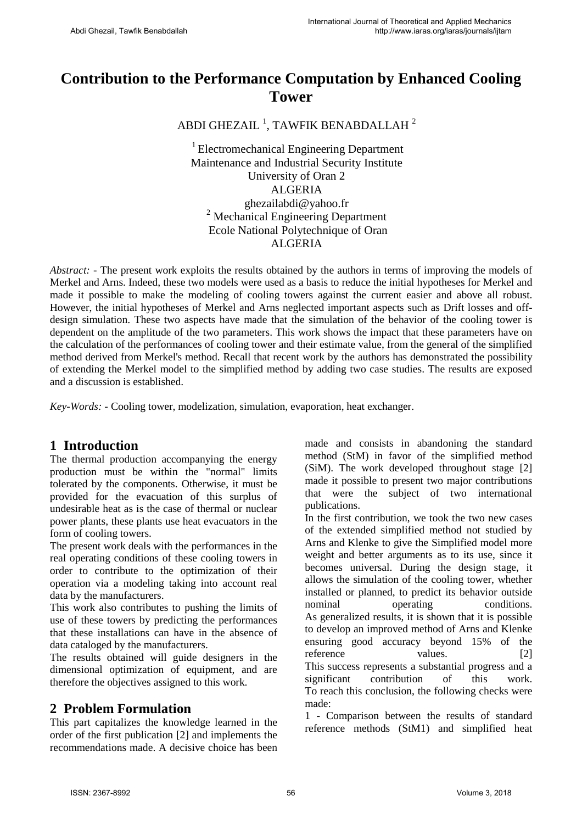# **Contribution to the Performance Computation by Enhanced Cooling Tower**

ABDI GHEZAIL  $^1$ , TAWFIK BENABDALLAH  $^2$ 

<sup>1</sup> Electromechanical Engineering Department Maintenance and Industrial Security Institute University of Oran 2 ALGERIA ghezailabdi@yahoo.fr <sup>2</sup> Mechanical Engineering Department Ecole National Polytechnique of Oran ALGERIA

*Abstract:* - The present work exploits the results obtained by the authors in terms of improving the models of Merkel and Arns. Indeed, these two models were used as a basis to reduce the initial hypotheses for Merkel and made it possible to make the modeling of cooling towers against the current easier and above all robust. However, the initial hypotheses of Merkel and Arns neglected important aspects such as Drift losses and offdesign simulation. These two aspects have made that the simulation of the behavior of the cooling tower is dependent on the amplitude of the two parameters. This work shows the impact that these parameters have on the calculation of the performances of cooling tower and their estimate value, from the general of the simplified method derived from Merkel's method. Recall that recent work by the authors has demonstrated the possibility of extending the Merkel model to the simplified method by adding two case studies. The results are exposed and a discussion is established.

*Key-Words: -* Cooling tower, modelization, simulation, evaporation, heat exchanger.

# **1 Introduction**

The thermal production accompanying the energy production must be within the "normal" limits tolerated by the components. Otherwise, it must be provided for the evacuation of this surplus of undesirable heat as is the case of thermal or nuclear power plants, these plants use heat evacuators in the form of cooling towers.

The present work deals with the performances in the real operating conditions of these cooling towers in order to contribute to the optimization of their operation via a modeling taking into account real data by the manufacturers.

This work also contributes to pushing the limits of use of these towers by predicting the performances that these installations can have in the absence of data cataloged by the manufacturers.

The results obtained will guide designers in the dimensional optimization of equipment, and are therefore the objectives assigned to this work.

# **2 Problem Formulation**

This part capitalizes the knowledge learned in the order of the first publication [2] and implements the recommendations made. A decisive choice has been made and consists in abandoning the standard method (StM) in favor of the simplified method (SiM). The work developed throughout stage [2] made it possible to present two major contributions that were the subject of two international publications.

In the first contribution, we took the two new cases of the extended simplified method not studied by Arns and Klenke to give the Simplified model more weight and better arguments as to its use, since it becomes universal. During the design stage, it allows the simulation of the cooling tower, whether installed or planned, to predict its behavior outside nominal operating conditions. As generalized results, it is shown that it is possible to develop an improved method of Arns and Klenke ensuring good accuracy beyond 15% of the reference values. [2] This success represents a substantial progress and a significant contribution of this work. To reach this conclusion, the following checks were made:

1 - Comparison between the results of standard reference methods (StM1) and simplified heat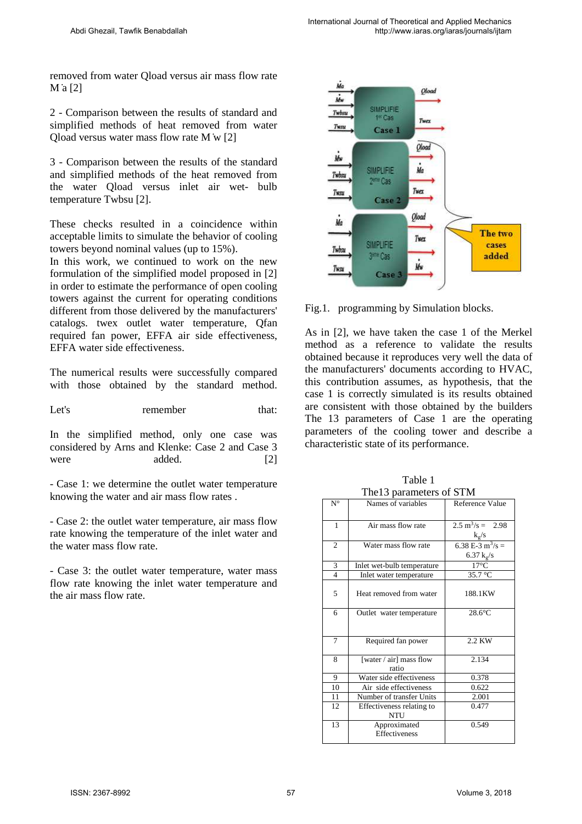removed from water Qload versus air mass flow rate M ̇a [2]

2 - Comparison between the results of standard and simplified methods of heat removed from water Qload versus water mass flow rate M ̇w [2]

3 - Comparison between the results of the standard and simplified methods of the heat removed from the water Qload versus inlet air wet- bulb temperature Twbsu [2].

These checks resulted in a coincidence within acceptable limits to simulate the behavior of cooling towers beyond nominal values (up to 15%).

In this work, we continued to work on the new formulation of the simplified model proposed in [2] in order to estimate the performance of open cooling towers against the current for operating conditions different from those delivered by the manufacturers' catalogs. twex outlet water temperature, Qfan required fan power, EFFA air side effectiveness, EFFA water side effectiveness.

The numerical results were successfully compared with those obtained by the standard method.

Let's remember that:

In the simplified method, only one case was considered by Arns and Klenke: Case 2 and Case 3 were added. [2]

- Case 1: we determine the outlet water temperature knowing the water and air mass flow rates .

- Case 2: the outlet water temperature, air mass flow rate knowing the temperature of the inlet water and the water mass flow rate.

- Case 3: the outlet water temperature, water mass flow rate knowing the inlet water temperature and the air mass flow rate.



Fig.1. programming by Simulation blocks.

As in [2], we have taken the case 1 of the Merkel method as a reference to validate the results obtained because it reproduces very well the data of the manufacturers' documents according to HVAC, this contribution assumes, as hypothesis, that the case 1 is correctly simulated is its results obtained are consistent with those obtained by the builders The 13 parameters of Case 1 are the operating parameters of the cooling tower and describe a characteristic state of its performance.

| The 13 parameters of STM |                                         |                                                     |  |  |
|--------------------------|-----------------------------------------|-----------------------------------------------------|--|--|
| $N^{\circ}$              | Names of variables                      | Reference Value                                     |  |  |
| 1                        | Air mass flow rate                      | $2.5 \text{ m}^3/\text{s} = 2.98$<br>$k_{\rm g}/s$  |  |  |
| $\overline{c}$           | Water mass flow rate                    | 6.38 E-3 m <sup>3</sup> /s =<br>6.37 $k_{\rm g}$ /s |  |  |
| 3                        | Inlet wet-bulb temperature              | $17^{\circ}$ C                                      |  |  |
| $\overline{4}$           | Inlet water temperature                 | 35.7 °C                                             |  |  |
| 5                        | Heat removed from water                 | 188.1KW                                             |  |  |
| 6                        | Outlet water temperature                | $28.6^{\circ}$ C                                    |  |  |
| 7                        | Required fan power                      | 2.2 KW                                              |  |  |
| 8                        | [water / air] mass flow<br>ratio        | 2.134                                               |  |  |
| 9                        | Water side effectiveness                | 0.378                                               |  |  |
| 10                       | Air side effectiveness                  | 0.622                                               |  |  |
| 11                       | Number of transfer Units                | 2.001                                               |  |  |
| 12                       | Effectiveness relating to<br><b>NTU</b> | 0.477                                               |  |  |
| 13                       | Approximated<br>Effectiveness           | 0.549                                               |  |  |

Table 1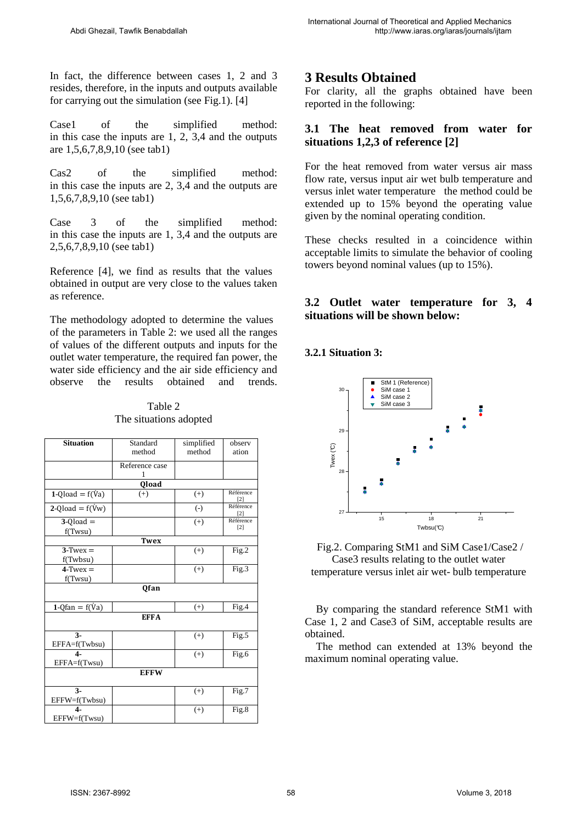In fact, the difference between cases 1, 2 and 3 resides, therefore, in the inputs and outputs available for carrying out the simulation (see Fig.1). [4]

Case1 of the simplified method: in this case the inputs are 1, 2, 3,4 and the outputs are 1,5,6,7,8,9,10 (see tab1)

Cas2 of the simplified method: in this case the inputs are 2, 3,4 and the outputs are 1,5,6,7,8,9,10 (see tab1)

Case 3 of the simplified method: in this case the inputs are 1, 3,4 and the outputs are 2,5,6,7,8,9,10 (see tab1)

Reference [4], we find as results that the values obtained in output are very close to the values taken as reference.

The methodology adopted to determine the values of the parameters in Table 2: we used all the ranges of values of the different outputs and inputs for the outlet water temperature, the required fan power, the water side efficiency and the air side efficiency and observe the results obtained and trends.

| <b>Situation</b>             | Standard<br>method | simplified<br>method | observ<br>ation                |  |  |
|------------------------------|--------------------|----------------------|--------------------------------|--|--|
|                              |                    |                      |                                |  |  |
|                              | Reference case     |                      |                                |  |  |
|                              | 1                  |                      |                                |  |  |
| Qload                        |                    |                      |                                |  |  |
| $1-Qload = f(Va)$            | $(+)$              | $(+)$                | Référence<br>$\lceil 2 \rceil$ |  |  |
| $2$ -Qload = f( $\dot{V}w$ ) |                    | $(-)$                | Référence<br>$\lceil 2 \rceil$ |  |  |
| $3-Q$ load $=$               |                    | $(+)$                | Référence                      |  |  |
| f(Twsu)                      |                    |                      | $[2]$                          |  |  |
| <b>Twex</b>                  |                    |                      |                                |  |  |
| $3$ -Twex =                  |                    | $(+)$                | Fig.2                          |  |  |
| f(Twbsu)                     |                    |                      |                                |  |  |
| $4$ -Twex $=$                |                    | $(+)$                | Fig.3                          |  |  |
| f(Twsu)                      |                    |                      |                                |  |  |
| Qfan                         |                    |                      |                                |  |  |
| $1 - Q$ fan = f(Va)          |                    | $(+)$                | Fig.4                          |  |  |
| <b>EFFA</b>                  |                    |                      |                                |  |  |
| $3 -$                        |                    | $(+)$                | Fig.5                          |  |  |
| EFFA=f(Twbsu)                |                    |                      |                                |  |  |
| $\overline{\mathbf{A}}$      |                    | $^{(+)}$             | Fig.6                          |  |  |
| EFFA=f(Twsu)                 |                    |                      |                                |  |  |
| <b>EFFW</b>                  |                    |                      |                                |  |  |
| $3 -$                        |                    | $^{(+)}$             | Fig.7                          |  |  |
| EFFW=f(Twbsu)                |                    |                      |                                |  |  |
| $\overline{\mathbf{A}}$      |                    | $(+)$                | Fig.8                          |  |  |
| EFFW=f(Twsu)                 |                    |                      |                                |  |  |

Table 2 The situations adopted

# **3 Results Obtained**

For clarity, all the graphs obtained have been reported in the following:

### **3.1 The heat removed from water for situations 1,2,3 of reference [2]**

For the heat removed from water versus air mass flow rate, versus input air wet bulb temperature and versus inlet water temperature the method could be extended up to 15% beyond the operating value given by the nominal operating condition.

These checks resulted in a coincidence within acceptable limits to simulate the behavior of cooling towers beyond nominal values (up to 15%).

### **3.2 Outlet water temperature for 3, 4 situations will be shown below:**

#### **3.2.1 Situation 3:**



Fig.2. Comparing StM1 and SiM Case1/Case2 / Case3 results relating to the outlet water

temperature versus inlet air wet- bulb temperature

By comparing the standard reference StM1 with Case 1, 2 and Case3 of SiM, acceptable results are obtained.

The method can extended at 13% beyond the maximum nominal operating value.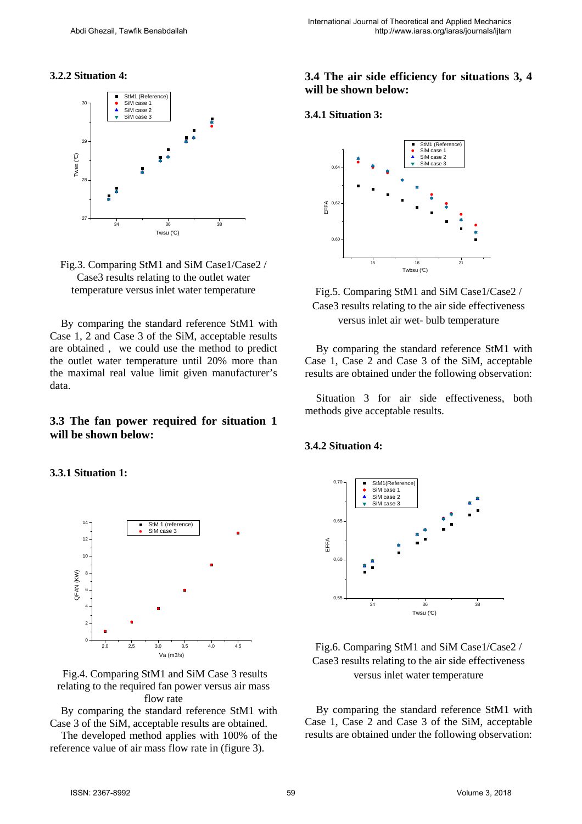#### **3.2.2 Situation 4:**





By comparing the standard reference StM1 with Case 1, 2 and Case 3 of the SiM, acceptable results are obtained , we could use the method to predict the outlet water temperature until 20% more than the maximal real value limit given manufacturer's data.

#### **3.3 The fan power required for situation 1 will be shown below:**

**3.3.1 Situation 1:** 



Fig.4. Comparing StM1 and SiM Case 3 results relating to the required fan power versus air mass flow rate

By comparing the standard reference StM1 with Case 3 of the SiM, acceptable results are obtained.

The developed method applies with 100% of the reference value of air mass flow rate in (figure 3).

### **3.4 The air side efficiency for situations 3, 4 will be shown below:**

#### **3.4.1 Situation 3:**





By comparing the standard reference StM1 with Case 1, Case 2 and Case 3 of the SiM, acceptable results are obtained under the following observation:

Situation 3 for air side effectiveness, both methods give acceptable results.

#### **3.4.2 Situation 4:**



Fig.6. Comparing StM1 and SiM Case1/Case2 / Case3 results relating to the air side effectiveness versus inlet water temperature

By comparing the standard reference StM1 with Case 1, Case 2 and Case 3 of the SiM, acceptable results are obtained under the following observation: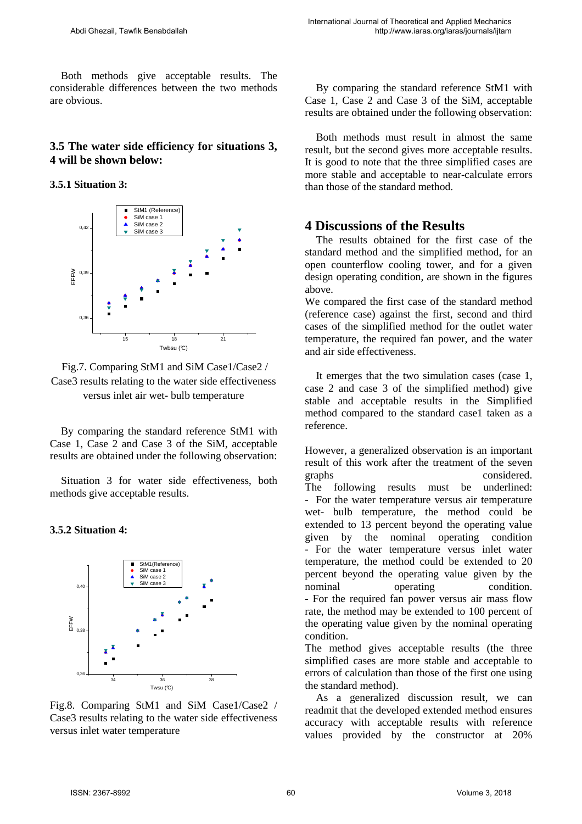Both methods give acceptable results. The considerable differences between the two methods are obvious.

### **3.5 The water side efficiency for situations 3, 4 will be shown below:**

**3.5.1 Situation 3:** 





By comparing the standard reference StM1 with Case 1, Case 2 and Case 3 of the SiM, acceptable results are obtained under the following observation:

Situation 3 for water side effectiveness, both methods give acceptable results.

#### **3.5.2 Situation 4:**



Fig.8. Comparing StM1 and SiM Case1/Case2 / Case3 results relating to the water side effectiveness versus inlet water temperature

By comparing the standard reference StM1 with Case 1, Case 2 and Case 3 of the SiM, acceptable results are obtained under the following observation:

Both methods must result in almost the same result, but the second gives more acceptable results. It is good to note that the three simplified cases are more stable and acceptable to near-calculate errors than those of the standard method.

## **4 Discussions of the Results**

The results obtained for the first case of the standard method and the simplified method, for an open counterflow cooling tower, and for a given design operating condition, are shown in the figures above.

We compared the first case of the standard method (reference case) against the first, second and third cases of the simplified method for the outlet water temperature, the required fan power, and the water and air side effectiveness.

It emerges that the two simulation cases (case 1, case 2 and case 3 of the simplified method) give stable and acceptable results in the Simplified method compared to the standard case1 taken as a reference.

However, a generalized observation is an important result of this work after the treatment of the seven graphs considered. The following results must be underlined: - For the water temperature versus air temperature wet- bulb temperature, the method could be extended to 13 percent beyond the operating value given by the nominal operating condition - For the water temperature versus inlet water temperature, the method could be extended to 20 percent beyond the operating value given by the nominal operating condition. - For the required fan power versus air mass flow rate, the method may be extended to 100 percent of the operating value given by the nominal operating condition.

The method gives acceptable results (the three simplified cases are more stable and acceptable to errors of calculation than those of the first one using the standard method).

As a generalized discussion result, we can readmit that the developed extended method ensures accuracy with acceptable results with reference values provided by the constructor at 20%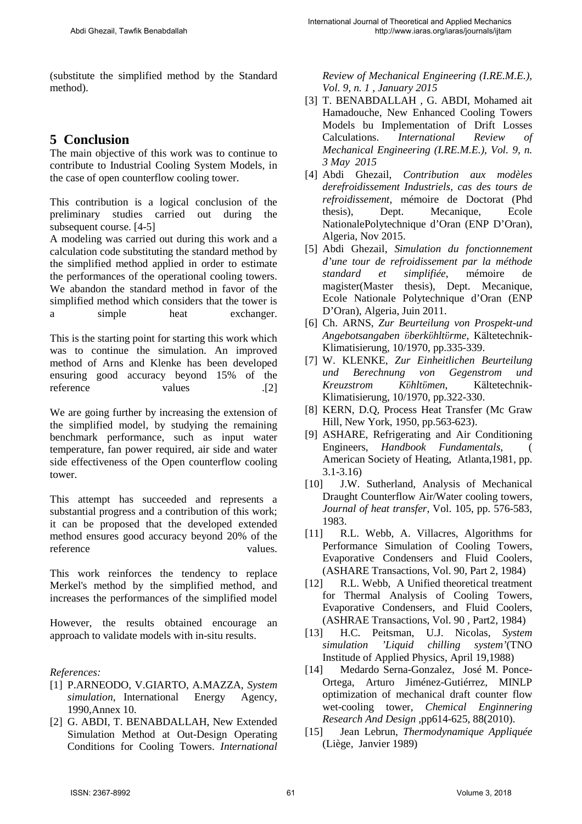(substitute the simplified method by the Standard method).

# **5 Conclusion**

The main objective of this work was to continue to contribute to Industrial Cooling System Models, in the case of open counterflow cooling tower.

This contribution is a logical conclusion of the preliminary studies carried out during the subsequent course. [4-5]

A modeling was carried out during this work and a calculation code substituting the standard method by the simplified method applied in order to estimate the performances of the operational cooling towers. We abandon the standard method in favor of the simplified method which considers that the tower is a simple heat exchanger.

This is the starting point for starting this work which was to continue the simulation. An improved method of Arns and Klenke has been developed ensuring good accuracy beyond 15% of the reference values .[2]

We are going further by increasing the extension of the simplified model, by studying the remaining benchmark performance, such as input water temperature, fan power required, air side and water side effectiveness of the Open counterflow cooling tower.

This attempt has succeeded and represents a substantial progress and a contribution of this work; it can be proposed that the developed extended method ensures good accuracy beyond 20% of the reference values.

This work reinforces the tendency to replace Merkel's method by the simplified method, and increases the performances of the simplified model

However, the results obtained encourage an approach to validate models with in-situ results.

#### *References:*

- [1] P.ARNEODO, V.GIARTO, A.MAZZA, *System simulation*, International Energy Agency, 1990,Annex 10.
- [2] G. ABDI, T. BENABDALLAH, New Extended Simulation Method at Out-Design Operating Conditions for Cooling Towers. *International*

*Review of Mechanical Engineering (I.RE.M.E.), Vol. 9, n. 1 , January 2015* 

- [3] T. BENABDALLAH , G. ABDI, Mohamed ait Hamadouche, New Enhanced Cooling Towers Models bu Implementation of Drift Losses Calculations. *International Review of Mechanical Engineering (I.RE.M.E.), Vol. 9, n. 3 May 2015*
- [4] Abdi Ghezail, *Contribution aux modèles derefroidissement Industriels, cas des tours de refroidissement,* mémoire de Doctorat (Phd thesis), Dept. Mecanique, Ecole NationalePolytechnique d'Oran (ENP D'Oran), Algeria, Nov 2015.
- [5] Abdi Ghezail, *Simulation du fonctionnement d'une tour de refroidissement par la méthode standard et simplifiée*, mémoire de magister(Master thesis), Dept. Mecanique, Ecole Nationale Polytechnique d'Oran (ENP D'Oran), Algeria, Juin 2011.
- [6] Ch. ARNS, *Zur Beurteilung von Prospekt-und Angebotsangaben ϋberkϋhltϋrme*, Kӓltetechnik-Klimatisierung, 10/1970, pp.335-339.
- [7] W. KLENKE, *Zur Einheitlichen Beurteilung und Berechnung von Gegenstrom und Kreuzstrom Kϋhltϋmen*, Kӓltetechnik-Klimatisierung, 10/1970, pp.322-330.
- [8] KERN, D.Q, Process Heat Transfer (Mc Graw Hill, New York, 1950, pp.563-623).
- [9] ASHARE, Refrigerating and Air Conditioning Engineers, *Handbook Fundamentals*, American Society of Heating, Atlanta,1981, pp. 3.1-3.16)
- [10] J.W. Sutherland, Analysis of Mechanical Draught Counterflow Air/Water cooling towers*, Journal of heat transfer*, Vol. 105, pp. 576-583, 1983.
- [11] R.L. Webb, A. Villacres, Algorithms for Performance Simulation of Cooling Towers, Evaporative Condensers and Fluid Coolers, (ASHARE Transactions, Vol. 90, Part 2, 1984)
- [12] R.L. Webb, A Unified theoretical treatment for Thermal Analysis of Cooling Towers, Evaporative Condensers, and Fluid Coolers, (ASHRAE Transactions, Vol. 90 , Part2, 1984)
- [13] H.C. Peitsman, U.J. Nicolas, *System simulation 'Liquid chilling system'*(TNO Institude of Applied Physics, April 19,1988)
- [14] Medardo Serna-Gonzalez, José M. Ponce-Ortega, Arturo Jiménez-Gutiérrez, MINLP optimization of mechanical draft counter flow wet-cooling tower, *Chemical Enginnering Research And Design* ,pp614-625, 88(2010).
- [15] Jean Lebrun, *Thermodynamique Appliquée* (Liège, Janvier 1989)